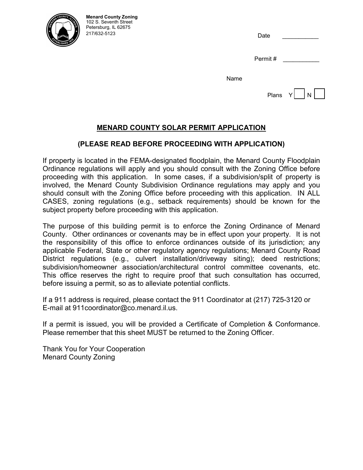

Date \_\_\_\_\_\_\_\_\_\_\_

| Permit# |  |  |  |
|---------|--|--|--|
|         |  |  |  |

Name

#### **MENARD COUNTY SOLAR PERMIT APPLICATION**

#### **(PLEASE READ BEFORE PROCEEDING WITH APPLICATION)**

If property is located in the FEMA-designated floodplain, the Menard County Floodplain Ordinance regulations will apply and you should consult with the Zoning Office before proceeding with this application. In some cases, if a subdivision/split of property is involved, the Menard County Subdivision Ordinance regulations may apply and you should consult with the Zoning Office before proceeding with this application. IN ALL CASES, zoning regulations (e.g., setback requirements) should be known for the subject property before proceeding with this application.

The purpose of this building permit is to enforce the Zoning Ordinance of Menard County. Other ordinances or covenants may be in effect upon your property. It is not the responsibility of this office to enforce ordinances outside of its jurisdiction; any applicable Federal, State or other regulatory agency regulations; Menard County Road District regulations (e.g., culvert installation/driveway siting); deed restrictions; subdivision/homeowner association/architectural control committee covenants, etc. This office reserves the right to require proof that such consultation has occurred, before issuing a permit, so as to alleviate potential conflicts.

If a 911 address is required, please contact the 911 Coordinator at (217) 725-3120 or E-mail at 911coordinator@co.menard.il.us.

If a permit is issued, you will be provided a Certificate of Completion & Conformance. Please remember that this sheet MUST be returned to the Zoning Officer.

Thank You for Your Cooperation Menard County Zoning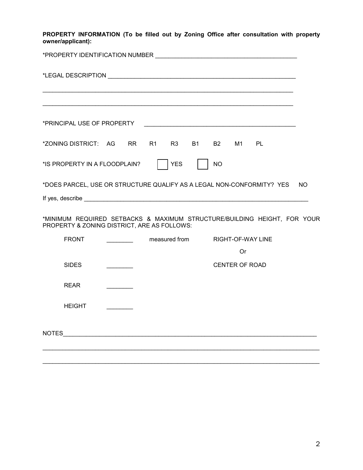**PROPERTY INFORMATION (To be filled out by Zoning Office after consultation with property owner/applicant):**

| *ZONING DISTRICT: AG RR R1 R3                                                                                           |  |               | <b>B1</b> | <b>B2</b> | M1 PL                 |                   |     |
|-------------------------------------------------------------------------------------------------------------------------|--|---------------|-----------|-----------|-----------------------|-------------------|-----|
| *IS PROPERTY IN A FLOODPLAIN?                                                                                           |  | <b>YES</b>    |           | <b>NO</b> |                       |                   |     |
| *DOES PARCEL, USE OR STRUCTURE QUALIFY AS A LEGAL NON-CONFORMITY? YES                                                   |  |               |           |           |                       |                   | NO. |
|                                                                                                                         |  |               |           |           |                       |                   |     |
| *MINIMUM REQUIRED SETBACKS & MAXIMUM STRUCTURE/BUILDING HEIGHT, FOR YOUR<br>PROPERTY & ZONING DISTRICT, ARE AS FOLLOWS: |  |               |           |           |                       |                   |     |
| <b>FRONT</b>                                                                                                            |  | measured from |           |           |                       | RIGHT-OF-WAY LINE |     |
|                                                                                                                         |  |               |           |           | Or                    |                   |     |
| <b>SIDES</b>                                                                                                            |  |               |           |           | <b>CENTER OF ROAD</b> |                   |     |
| <b>REAR</b>                                                                                                             |  |               |           |           |                       |                   |     |
| <b>HEIGHT</b>                                                                                                           |  |               |           |           |                       |                   |     |
|                                                                                                                         |  |               |           |           |                       |                   |     |
|                                                                                                                         |  |               |           |           |                       |                   |     |

\_\_\_\_\_\_\_\_\_\_\_\_\_\_\_\_\_\_\_\_\_\_\_\_\_\_\_\_\_\_\_\_\_\_\_\_\_\_\_\_\_\_\_\_\_\_\_\_\_\_\_\_\_\_\_\_\_\_\_\_\_\_\_\_\_\_\_\_\_\_\_\_\_\_\_\_\_\_\_\_\_\_\_\_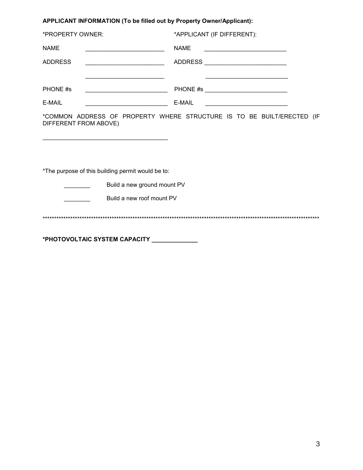# **APPLICANT INFORMATION (To be filled out by Property Owner/Applicant):**

| *PROPERTY OWNER:                                                    | *APPLICANT (IF DIFFERENT):                                                                |
|---------------------------------------------------------------------|-------------------------------------------------------------------------------------------|
| <b>NAME</b>                                                         | <b>NAME</b>                                                                               |
| <b>ADDRESS</b><br><u> 1989 - Johann Barbara, martxa alemaniar a</u> | ADDRESS _____________________________                                                     |
|                                                                     | the control of the control of the control of the control of the control of the control of |
| PHONE #s                                                            |                                                                                           |
| E-MAIL                                                              | E-MAIL<br><u> 1989 - Jan Barnett, fransk politiker (d. 1989)</u>                          |
| DIFFERENT FROM ABOVE)                                               | *COMMON ADDRESS OF PROPERTY WHERE STRUCTURE IS TO BE BUILT/ERECTED (IF                    |
| *The purpose of this building permit would be to:                   |                                                                                           |
| Build a new ground mount PV<br>Build a new roof mount PV            |                                                                                           |
|                                                                     |                                                                                           |

**\*PHOTOVOLTAIC SYSTEM CAPACITY \_\_\_\_\_\_\_\_\_\_\_\_\_\_**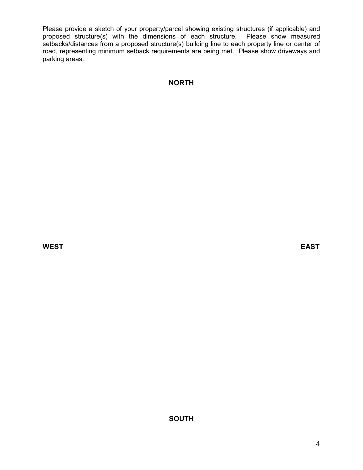Please provide a sketch of your property/parcel showing existing structures (if applicable) and proposed structure(s) with the dimensions of each structure. Please show measured setbacks/distances from a proposed structure(s) building line to each property line or center of road, representing minimum setback requirements are being met. Please show driveways and parking areas.

# **NORTH**

**WEST EAST**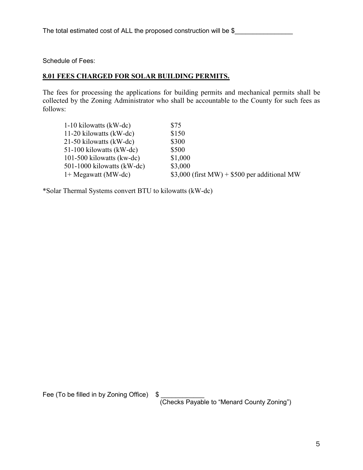Schedule of Fees:

# **8.01 FEES CHARGED FOR SOLAR BUILDING PERMITS.**

The fees for processing the applications for building permits and mechanical permits shall be collected by the Zoning Administrator who shall be accountable to the County for such fees as follows:

| 11-20 kilowatts (kW-dc)<br>\$150                                       |
|------------------------------------------------------------------------|
|                                                                        |
| 21-50 kilowatts (kW-dc)<br>\$300                                       |
| \$500<br>51-100 kilowatts (kW-dc)                                      |
| \$1,000<br>101-500 kilowatts (kw-dc)                                   |
| \$3,000<br>$501-1000$ kilowatts (kW-dc)                                |
| $$3,000$ (first MW) + \$500 per additional MW<br>$1+$ Megawatt (MW-dc) |

\*Solar Thermal Systems convert BTU to kilowatts (kW-dc)

Fee (To be filled in by Zoning Office) \$ \_\_\_\_\_\_\_\_\_\_\_\_\_

(Checks Payable to "Menard County Zoning")